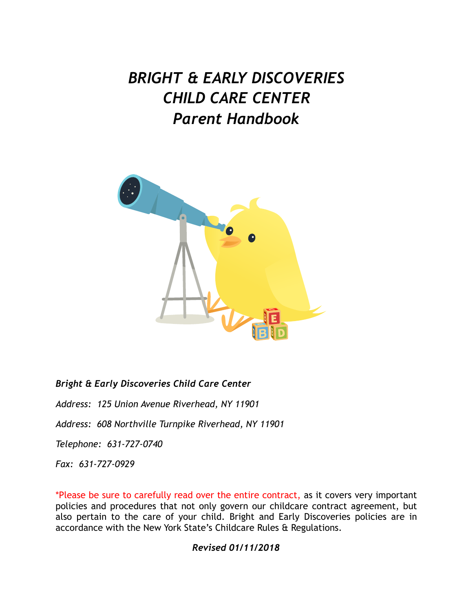# *BRIGHT & EARLY DISCOVERIES CHILD CARE CENTER Parent Handbook*



*Bright & Early Discoveries Child Care Center* 

*Address: 125 Union Avenue Riverhead, NY 11901* 

*Address: 608 Northville Turnpike Riverhead, NY 11901* 

*Telephone: 631-727-0740*

*Fax: 631-727-0929*

\*Please be sure to carefully read over the entire contract, as it covers very important policies and procedures that not only govern our childcare contract agreement, but also pertain to the care of your child. Bright and Early Discoveries policies are in accordance with the New York State's Childcare Rules & Regulations.

# *Revised 01/11/2018*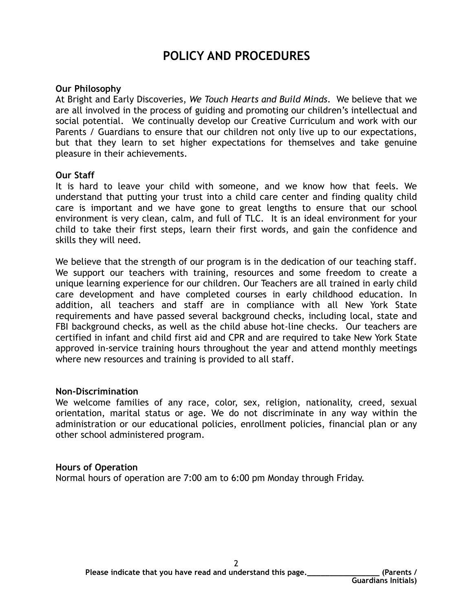# **POLICY AND PROCEDURES**

#### **Our Philosophy**

At Bright and Early Discoveries, *We Touch Hearts and Build Minds*. We believe that we are all involved in the process of guiding and promoting our children's intellectual and social potential. We continually develop our Creative Curriculum and work with our Parents / Guardians to ensure that our children not only live up to our expectations, but that they learn to set higher expectations for themselves and take genuine pleasure in their achievements.

#### **Our Staff**

It is hard to leave your child with someone, and we know how that feels. We understand that putting your trust into a child care center and finding quality child care is important and we have gone to great lengths to ensure that our school environment is very clean, calm, and full of TLC. It is an ideal environment for your child to take their first steps, learn their first words, and gain the confidence and skills they will need.

We believe that the strength of our program is in the dedication of our teaching staff. We support our teachers with training, resources and some freedom to create a unique learning experience for our children. Our Teachers are all trained in early child care development and have completed courses in early childhood education. In addition, all teachers and staff are in compliance with all New York State requirements and have passed several background checks, including local, state and FBI background checks, as well as the child abuse hot-line checks. Our teachers are certified in infant and child first aid and CPR and are required to take New York State approved in-service training hours throughout the year and attend monthly meetings where new resources and training is provided to all staff.

#### **Non-Discrimination**

We welcome families of any race, color, sex, religion, nationality, creed, sexual orientation, marital status or age. We do not discriminate in any way within the administration or our educational policies, enrollment policies, financial plan or any other school administered program.

#### **Hours of Operation**

Normal hours of operation are 7:00 am to 6:00 pm Monday through Friday.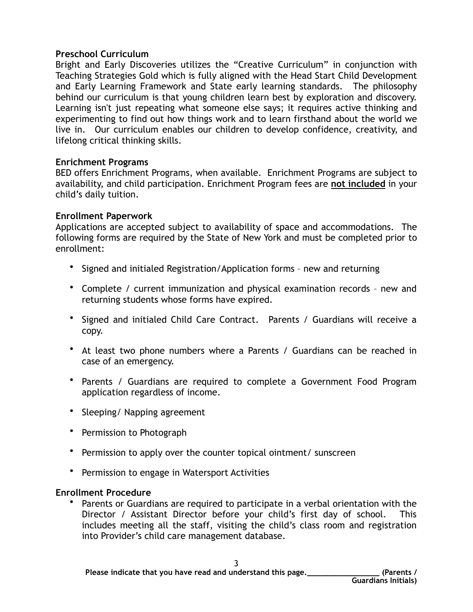#### **Preschool Curriculum**

Bright and Early Discoveries utilizes the "Creative Curriculum" in conjunction with Teaching Strategies Gold which is fully aligned with the Head Start Child Development and Early Learning Framework and State early learning standards. The philosophy behind our curriculum is that young children learn best by exploration and discovery. Learning isn't just repeating what someone else says; it requires active thinking and experimenting to find out how things work and to learn firsthand about the world we live in. Our curriculum enables our children to develop confidence, creativity, and lifelong critical thinking skills.

# **Enrichment Programs**

BED offers Enrichment Programs, when available. Enrichment Programs are subject to availability, and child participation. Enrichment Program fees are **not included** in your child's daily tuition.

#### **Enrollment Paperwork**

Applications are accepted subject to availability of space and accommodations. The following forms are required by the State of New York and must be completed prior to enrollment:

- Signed and initialed Registration/Application forms new and returning
- Complete / current immunization and physical examination records new and returning students whose forms have expired.
- Signed and initialed Child Care Contract. Parents / Guardians will receive a copy.
- At least two phone numbers where a Parents / Guardians can be reached in case of an emergency.
- Parents / Guardians are required to complete a Government Food Program application regardless of income.
- Sleeping/ Napping agreement
- Permission to Photograph
- Permission to apply over the counter topical ointment/ sunscreen
- Permission to engage in Watersport Activities

# **Enrollment Procedure**

• Parents or Guardians are required to participate in a verbal orientation with the Director / Assistant Director before your child's first day of school. This includes meeting all the staff, visiting the child's class room and registration into Provider's child care management database.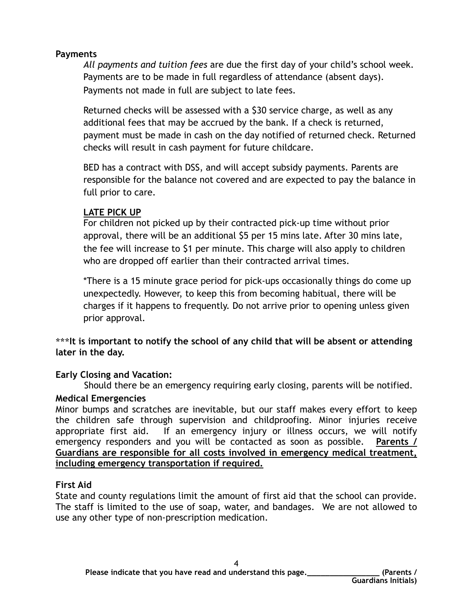# **Payments**

*All payments and tuition fees* are due the first day of your child's school week. Payments are to be made in full regardless of attendance (absent days). Payments not made in full are subject to late fees.

Returned checks will be assessed with a \$30 service charge, as well as any additional fees that may be accrued by the bank. If a check is returned, payment must be made in cash on the day notified of returned check. Returned checks will result in cash payment for future childcare.

BED has a contract with DSS, and will accept subsidy payments. Parents are responsible for the balance not covered and are expected to pay the balance in full prior to care.

# **LATE PICK UP**

For children not picked up by their contracted pick-up time without prior approval, there will be an additional \$5 per 15 mins late. After 30 mins late, the fee will increase to \$1 per minute. This charge will also apply to children who are dropped off earlier than their contracted arrival times.

\*There is a 15 minute grace period for pick-ups occasionally things do come up unexpectedly. However, to keep this from becoming habitual, there will be charges if it happens to frequently. Do not arrive prior to opening unless given prior approval.

**\*\*\*It is important to notify the school of any child that will be absent or attending later in the day.**

# **Early Closing and Vacation:**

Should there be an emergency requiring early closing, parents will be notified.

# **Medical Emergencies**

Minor bumps and scratches are inevitable, but our staff makes every effort to keep the children safe through supervision and childproofing. Minor injuries receive appropriate first aid. If an emergency injury or illness occurs, we will notify emergency responders and you will be contacted as soon as possible. **Parents / Guardians are responsible for all costs involved in emergency medical treatment, including emergency transportation if required.**

# **First Aid**

State and county regulations limit the amount of first aid that the school can provide. The staff is limited to the use of soap, water, and bandages. We are not allowed to use any other type of non-prescription medication.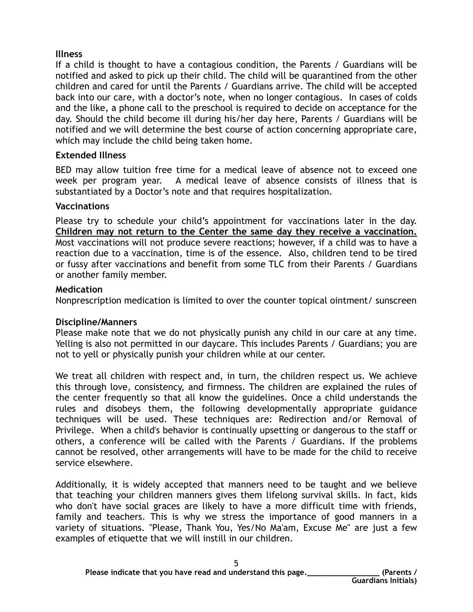# **Illness**

If a child is thought to have a contagious condition, the Parents / Guardians will be notified and asked to pick up their child. The child will be quarantined from the other children and cared for until the Parents / Guardians arrive. The child will be accepted back into our care, with a doctor's note, when no longer contagious. In cases of colds and the like, a phone call to the preschool is required to decide on acceptance for the day. Should the child become ill during his/her day here, Parents / Guardians will be notified and we will determine the best course of action concerning appropriate care, which may include the child being taken home.

# **Extended Illness**

BED may allow tuition free time for a medical leave of absence not to exceed one week per program year. A medical leave of absence consists of illness that is substantiated by a Doctor's note and that requires hospitalization.

# **Vaccinations**

Please try to schedule your child's appointment for vaccinations later in the day. **Children may not return to the Center the same day they receive a vaccination.** Most vaccinations will not produce severe reactions; however, if a child was to have a reaction due to a vaccination, time is of the essence. Also, children tend to be tired or fussy after vaccinations and benefit from some TLC from their Parents / Guardians or another family member.

# **Medication**

Nonprescription medication is limited to over the counter topical ointment/ sunscreen

# **Discipline/Manners**

Please make note that we do not physically punish any child in our care at any time. Yelling is also not permitted in our daycare. This includes Parents / Guardians; you are not to yell or physically punish your children while at our center.

We treat all children with respect and, in turn, the children respect us. We achieve this through love, consistency, and firmness. The children are explained the rules of the center frequently so that all know the guidelines. Once a child understands the rules and disobeys them, the following developmentally appropriate guidance techniques will be used. These techniques are: Redirection and/or Removal of Privilege. When a child's behavior is continually upsetting or dangerous to the staff or others, a conference will be called with the Parents / Guardians. If the problems cannot be resolved, other arrangements will have to be made for the child to receive service elsewhere.

Additionally, it is widely accepted that manners need to be taught and we believe that teaching your children manners gives them lifelong survival skills. In fact, kids who don't have social graces are likely to have a more difficult time with friends, family and teachers. This is why we stress the importance of good manners in a variety of situations. "Please, Thank You, Yes/No Ma'am, Excuse Me" are just a few examples of etiquette that we will instill in our children.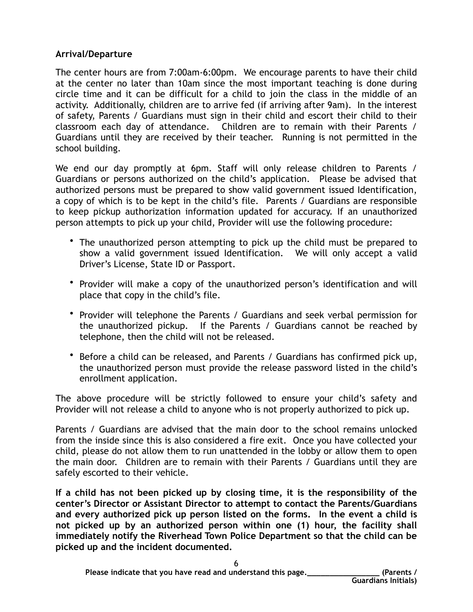# **Arrival/Departure**

The center hours are from 7:00am-6:00pm. We encourage parents to have their child at the center no later than 10am since the most important teaching is done during circle time and it can be difficult for a child to join the class in the middle of an activity. Additionally, children are to arrive fed (if arriving after 9am). In the interest of safety, Parents / Guardians must sign in their child and escort their child to their classroom each day of attendance. Children are to remain with their Parents / Guardians until they are received by their teacher. Running is not permitted in the school building.

We end our day promptly at 6pm. Staff will only release children to Parents / Guardians or persons authorized on the child's application. Please be advised that authorized persons must be prepared to show valid government issued Identification, a copy of which is to be kept in the child's file. Parents / Guardians are responsible to keep pickup authorization information updated for accuracy. If an unauthorized person attempts to pick up your child, Provider will use the following procedure:

- The unauthorized person attempting to pick up the child must be prepared to show a valid government issued Identification. We will only accept a valid Driver's License, State ID or Passport.
- Provider will make a copy of the unauthorized person's identification and will place that copy in the child's file.
- Provider will telephone the Parents / Guardians and seek verbal permission for the unauthorized pickup. If the Parents / Guardians cannot be reached by telephone, then the child will not be released.
- Before a child can be released, and Parents / Guardians has confirmed pick up, the unauthorized person must provide the release password listed in the child's enrollment application.

The above procedure will be strictly followed to ensure your child's safety and Provider will not release a child to anyone who is not properly authorized to pick up.

Parents / Guardians are advised that the main door to the school remains unlocked from the inside since this is also considered a fire exit. Once you have collected your child, please do not allow them to run unattended in the lobby or allow them to open the main door. Children are to remain with their Parents / Guardians until they are safely escorted to their vehicle.

**If a child has not been picked up by closing time, it is the responsibility of the center's Director or Assistant Director to attempt to contact the Parents/Guardians and every authorized pick up person listed on the forms. In the event a child is not picked up by an authorized person within one (1) hour, the facility shall immediately notify the Riverhead Town Police Department so that the child can be picked up and the incident documented.**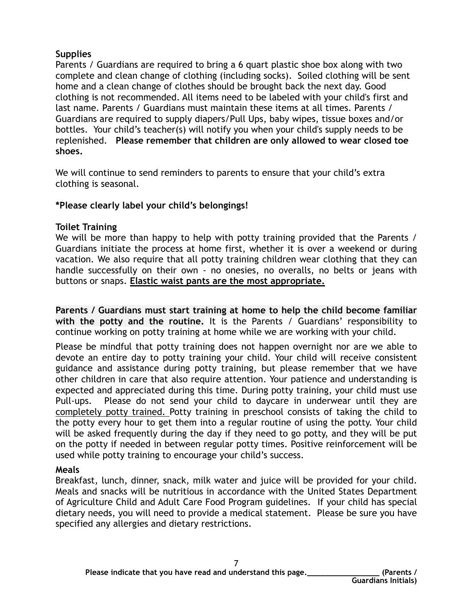# **Supplies**

Parents / Guardians are required to bring a 6 quart plastic shoe box along with two complete and clean change of clothing (including socks). Soiled clothing will be sent home and a clean change of clothes should be brought back the next day. Good clothing is not recommended. All items need to be labeled with your child's first and last name. Parents / Guardians must maintain these items at all times. Parents / Guardians are required to supply diapers/Pull Ups, baby wipes, tissue boxes and/or bottles. Your child's teacher(s) will notify you when your child's supply needs to be replenished. **Please remember that children are only allowed to wear closed toe shoes.** 

We will continue to send reminders to parents to ensure that your child's extra clothing is seasonal.

# **\*Please clearly label your child's belongings!**

# **Toilet Training**

We will be more than happy to help with potty training provided that the Parents / Guardians initiate the process at home first, whether it is over a weekend or during vacation. We also require that all potty training children wear clothing that they can handle successfully on their own - no onesies, no overalls, no belts or jeans with buttons or snaps. **Elastic waist pants are the most appropriate.** 

**Parents / Guardians must start training at home to help the child become familiar with the potty and the routine.** It is the Parents / Guardians' responsibility to continue working on potty training at home while we are working with your child.

Please be mindful that potty training does not happen overnight nor are we able to devote an entire day to potty training your child. Your child will receive consistent guidance and assistance during potty training, but please remember that we have other children in care that also require attention. Your patience and understanding is expected and appreciated during this time. During potty training, your child must use Pull-ups. Please do not send your child to daycare in underwear until they are completely potty trained. Potty training in preschool consists of taking the child to the potty every hour to get them into a regular routine of using the potty. Your child will be asked frequently during the day if they need to go potty, and they will be put on the potty if needed in between regular potty times. Positive reinforcement will be used while potty training to encourage your child's success.

# **Meals**

Breakfast, lunch, dinner, snack, milk water and juice will be provided for your child. Meals and snacks will be nutritious in accordance with the United States Department of Agriculture Child and Adult Care Food Program guidelines. If your child has special dietary needs, you will need to provide a medical statement. Please be sure you have specified any allergies and dietary restrictions.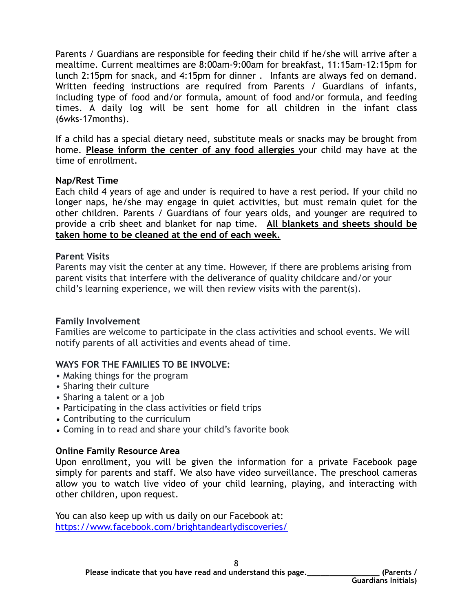Parents / Guardians are responsible for feeding their child if he/she will arrive after a mealtime. Current mealtimes are 8:00am-9:00am for breakfast, 11:15am-12:15pm for lunch 2:15pm for snack, and 4:15pm for dinner . Infants are always fed on demand. Written feeding instructions are required from Parents / Guardians of infants, including type of food and/or formula, amount of food and/or formula, and feeding times. A daily log will be sent home for all children in the infant class (6wks-17months).

If a child has a special dietary need, substitute meals or snacks may be brought from home. **Please inform the center of any food allergies** your child may have at the time of enrollment.

#### **Nap/Rest Time**

Each child 4 years of age and under is required to have a rest period. If your child no longer naps, he/she may engage in quiet activities, but must remain quiet for the other children. Parents / Guardians of four years olds, and younger are required to provide a crib sheet and blanket for nap time. **All blankets and sheets should be taken home to be cleaned at the end of each week.**

#### **Parent Visits**

Parents may visit the center at any time. However, if there are problems arising from parent visits that interfere with the deliverance of quality childcare and/or your child's learning experience, we will then review visits with the parent(s).

# **Family Involvement**

Families are welcome to participate in the class activities and school events. We will notify parents of all activities and events ahead of time.

# **WAYS FOR THE FAMILIES TO BE INVOLVE:**

- Making things for the program
- Sharing their culture
- Sharing a talent or a job
- Participating in the class activities or field trips
- Contributing to the curriculum
- Coming in to read and share your child's favorite book

# **Online Family Resource Area**

Upon enrollment, you will be given the information for a private Facebook page simply for parents and staff. We also have video surveillance. The preschool cameras allow you to watch live video of your child learning, playing, and interacting with other children, upon request.

You can also keep up with us daily on our Facebook at: <https://www.facebook.com/brightandearlydiscoveries/>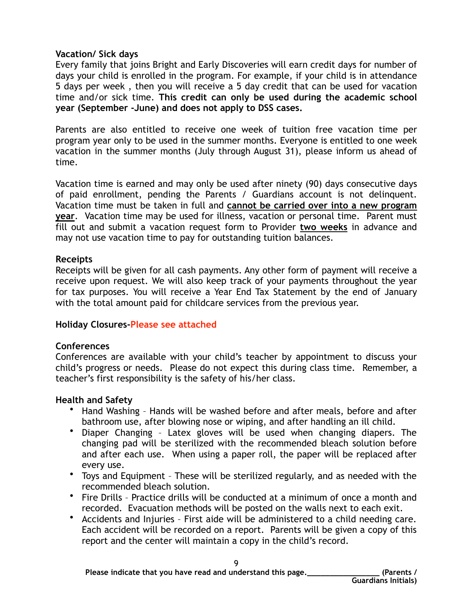#### **Vacation/ Sick days**

Every family that joins Bright and Early Discoveries will earn credit days for number of days your child is enrolled in the program. For example, if your child is in attendance 5 days per week , then you will receive a 5 day credit that can be used for vacation time and/or sick time. **This credit can only be used during the academic school year (September -June) and does not apply to DSS cases.** 

Parents are also entitled to receive one week of tuition free vacation time per program year only to be used in the summer months. Everyone is entitled to one week vacation in the summer months (July through August 31), please inform us ahead of time.

Vacation time is earned and may only be used after ninety (90) days consecutive days of paid enrollment, pending the Parents / Guardians account is not delinquent. Vacation time must be taken in full and **cannot be carried over into a new program year**. Vacation time may be used for illness, vacation or personal time. Parent must fill out and submit a vacation request form to Provider **two weeks** in advance and may not use vacation time to pay for outstanding tuition balances.

#### **Receipts**

Receipts will be given for all cash payments. Any other form of payment will receive a receive upon request. We will also keep track of your payments throughout the year for tax purposes. You will receive a Year End Tax Statement by the end of January with the total amount paid for childcare services from the previous year.

# **Holiday Closures-Please see attached**

# **Conferences**

Conferences are available with your child's teacher by appointment to discuss your child's progress or needs. Please do not expect this during class time. Remember, a teacher's first responsibility is the safety of his/her class.

# **Health and Safety**

- Hand Washing Hands will be washed before and after meals, before and after bathroom use, after blowing nose or wiping, and after handling an ill child.
- Diaper Changing Latex gloves will be used when changing diapers. The changing pad will be sterilized with the recommended bleach solution before and after each use. When using a paper roll, the paper will be replaced after every use.
- Toys and Equipment These will be sterilized regularly, and as needed with the recommended bleach solution.
- Fire Drills Practice drills will be conducted at a minimum of once a month and recorded. Evacuation methods will be posted on the walls next to each exit.
- Accidents and Injuries First aide will be administered to a child needing care. Each accident will be recorded on a report. Parents will be given a copy of this report and the center will maintain a copy in the child's record.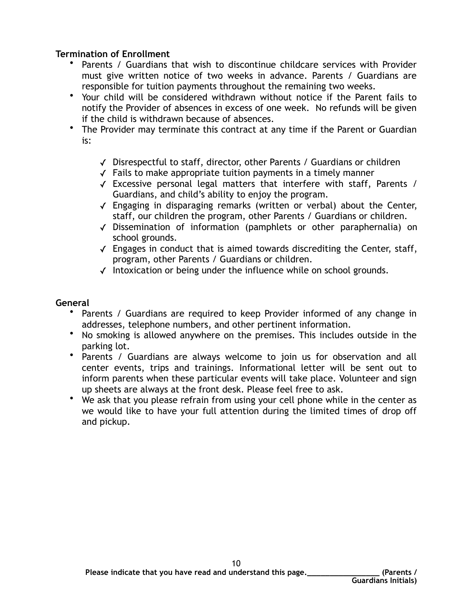# **Termination of Enrollment**

- Parents / Guardians that wish to discontinue childcare services with Provider must give written notice of two weeks in advance. Parents / Guardians are responsible for tuition payments throughout the remaining two weeks.
- Your child will be considered withdrawn without notice if the Parent fails to notify the Provider of absences in excess of one week. No refunds will be given if the child is withdrawn because of absences.
- The Provider may terminate this contract at any time if the Parent or Guardian is:
	- ✓ Disrespectful to staff, director, other Parents / Guardians or children
	- ✓ Fails to make appropriate tuition payments in a timely manner
	- ✓ Excessive personal legal matters that interfere with staff, Parents / Guardians, and child's ability to enjoy the program.
	- ✓ Engaging in disparaging remarks (written or verbal) about the Center, staff, our children the program, other Parents / Guardians or children.
	- ✓ Dissemination of information (pamphlets or other paraphernalia) on school grounds.
	- $\sqrt{\ }$  Engages in conduct that is aimed towards discrediting the Center, staff, program, other Parents / Guardians or children.
	- ✓ Intoxication or being under the influence while on school grounds.

# **General**

- Parents / Guardians are required to keep Provider informed of any change in addresses, telephone numbers, and other pertinent information.
- No smoking is allowed anywhere on the premises. This includes outside in the parking lot.
- Parents / Guardians are always welcome to join us for observation and all center events, trips and trainings. Informational letter will be sent out to inform parents when these particular events will take place. Volunteer and sign up sheets are always at the front desk. Please feel free to ask.
- We ask that you please refrain from using your cell phone while in the center as we would like to have your full attention during the limited times of drop off and pickup.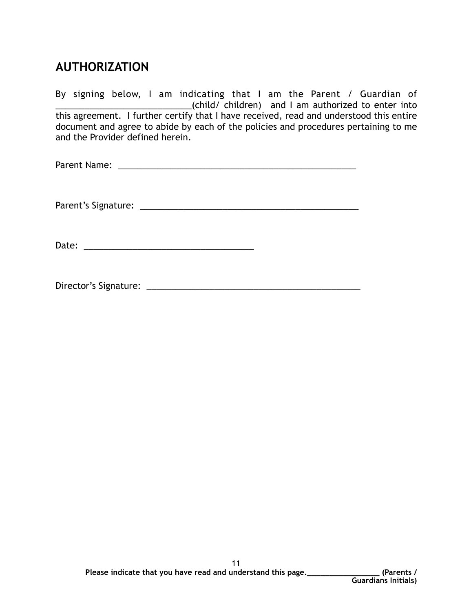# **AUTHORIZATION**

By signing below, I am indicating that I am the Parent / Guardian of \_\_\_\_\_\_\_\_\_\_\_\_\_\_\_\_\_\_\_\_\_\_\_\_\_\_\_\_(child/ children) and I am authorized to enter into this agreement. I further certify that I have received, read and understood this entire document and agree to abide by each of the policies and procedures pertaining to me and the Provider defined herein.

| Parent Name: |  |  |  |
|--------------|--|--|--|
|              |  |  |  |
|              |  |  |  |
|              |  |  |  |

Parent's Signature: \_\_\_\_\_\_\_\_\_\_\_\_\_\_\_\_\_\_\_\_\_\_\_\_\_\_\_\_\_\_\_\_\_\_\_\_\_\_\_\_\_\_\_\_\_

Date: \_\_\_\_\_\_\_\_\_\_\_\_\_\_\_\_\_\_\_\_\_\_\_\_\_\_\_\_\_\_\_\_\_\_\_

Director's Signature: \_\_\_\_\_\_\_\_\_\_\_\_\_\_\_\_\_\_\_\_\_\_\_\_\_\_\_\_\_\_\_\_\_\_\_\_\_\_\_\_\_\_\_\_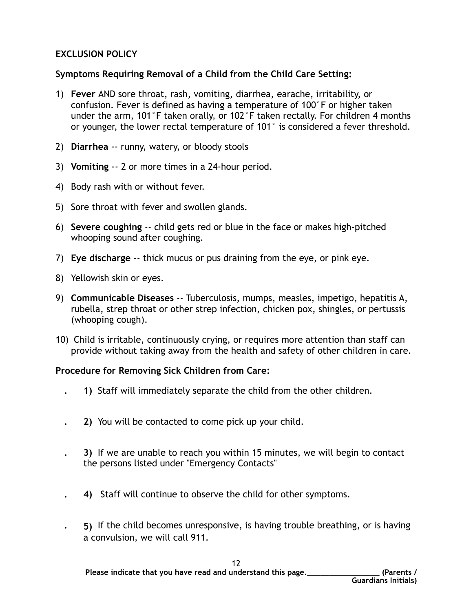# **EXCLUSION POLICY**

# **Symptoms Requiring Removal of a Child from the Child Care Setting:**

- 1) **Fever** AND sore throat, rash, vomiting, diarrhea, earache, irritability, or confusion. Fever is defined as having a temperature of 100°F or higher taken under the arm, 101°F taken orally, or 102°F taken rectally. For children 4 months or younger, the lower rectal temperature of 101° is considered a fever threshold.
- 2) **Diarrhea** -- runny, watery, or bloody stools
- 3) **Vomiting** -- 2 or more times in a 24-hour period.
- 4) Body rash with or without fever.
- 5) Sore throat with fever and swollen glands.
- 6) **Severe coughing** -- child gets red or blue in the face or makes high-pitched whooping sound after coughing.
- 7) **Eye discharge** -- thick mucus or pus draining from the eye, or pink eye.
- 8) Yellowish skin or eyes.
- 9) **Communicable Diseases** -- Tuberculosis, mumps, measles, impetigo, hepatitis A, rubella, strep throat or other strep infection, chicken pox, shingles, or pertussis (whooping cough).
- 10) Child is irritable, continuously crying, or requires more attention than staff can provide without taking away from the health and safety of other children in care.

# **Procedure for Removing Sick Children from Care:**

- **1)** Staff will immediately separate the child from the other children.
- **2)** You will be contacted to come pick up your child.
- **3)** If we are unable to reach you within 15 minutes, we will begin to contact the persons listed under "Emergency Contacts"
- **4)** Staff will continue to observe the child for other symptoms.
- **5)** If the child becomes unresponsive, is having trouble breathing, or is having a convulsion, we will call 911.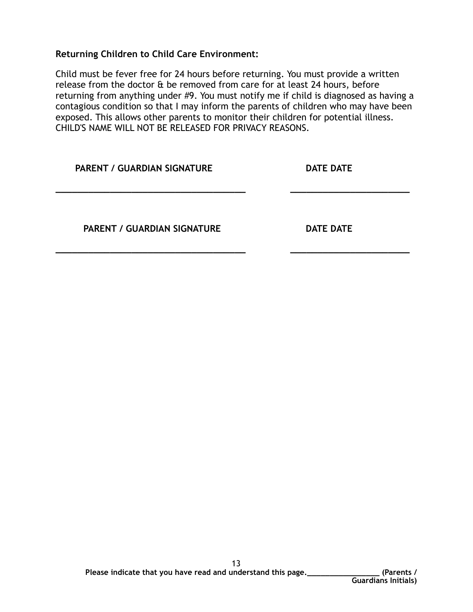**Returning Children to Child Care Environment:** 

Child must be fever free for 24 hours before returning. You must provide a written release from the doctor & be removed from care for at least 24 hours, before returning from anything under #9. You must notify me if child is diagnosed as having a contagious condition so that I may inform the parents of children who may have been exposed. This allows other parents to monitor their children for potential illness. CHILD'S NAME WILL NOT BE RELEASED FOR PRIVACY REASONS.

| <b>PARENT / GUARDIAN SIGNATURE</b> | <b>DATE DATE</b> |  |  |
|------------------------------------|------------------|--|--|
| <b>PARENT / GUARDIAN SIGNATURE</b> | <b>DATE DATE</b> |  |  |